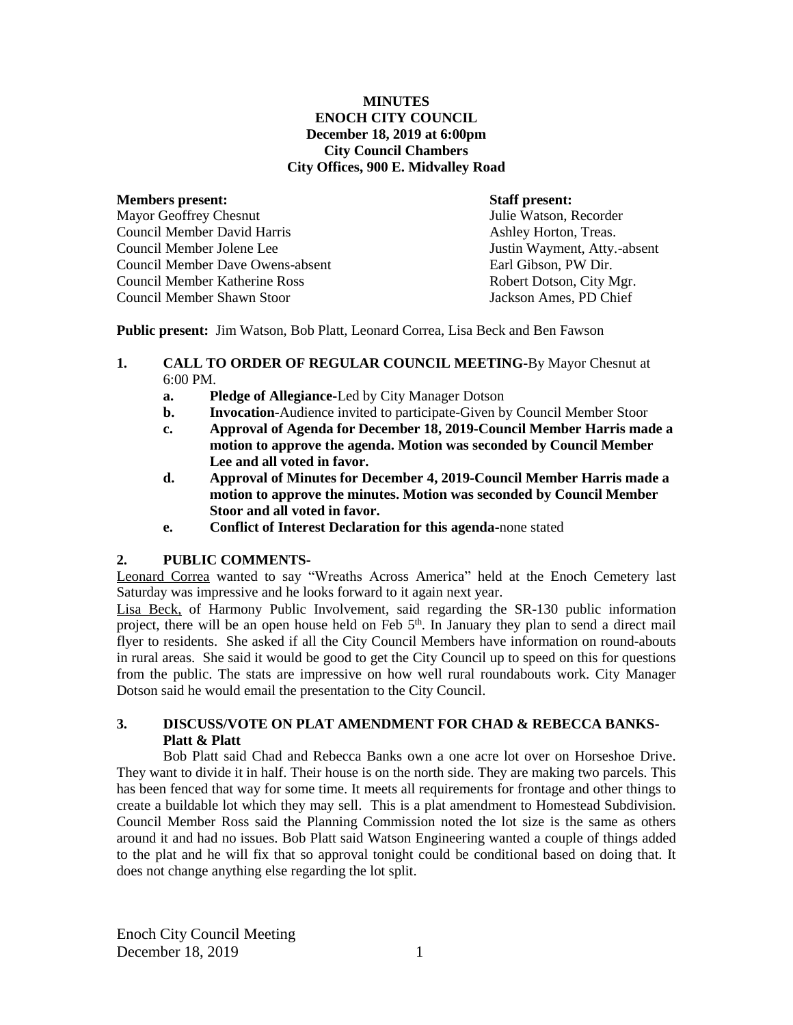#### **MINUTES ENOCH CITY COUNCIL December 18, 2019 at 6:00pm City Council Chambers City Offices, 900 E. Midvalley Road**

## **Members present: Staff present:**

Mayor Geoffrey Chesnut Tulie Watson, Recorder Council Member David Harris **Ashley Horton, Treas.** Ashley Horton, Treas. Council Member Jolene Lee Justin Wayment, Atty.-absent Council Member Dave Owens-absent Council Member Katherine Ross Robert Dotson, City Mgr. Council Member Shawn Stoor Jackson Ames, PD Chief

**Public present:** Jim Watson, Bob Platt, Leonard Correa, Lisa Beck and Ben Fawson

## **1. CALL TO ORDER OF REGULAR COUNCIL MEETING-**By Mayor Chesnut at 6:00 PM.

- **a. Pledge of Allegiance-**Led by City Manager Dotson
- **b. Invocation-**Audience invited to participate-Given by Council Member Stoor
- **c. Approval of Agenda for December 18, 2019-Council Member Harris made a motion to approve the agenda. Motion was seconded by Council Member Lee and all voted in favor.**
- **d. Approval of Minutes for December 4, 2019-Council Member Harris made a motion to approve the minutes. Motion was seconded by Council Member Stoor and all voted in favor.**
- **e. Conflict of Interest Declaration for this agenda-**none stated

# **2. PUBLIC COMMENTS-**

Leonard Correa wanted to say "Wreaths Across America" held at the Enoch Cemetery last Saturday was impressive and he looks forward to it again next year.

Lisa Beck, of Harmony Public Involvement, said regarding the SR-130 public information project, there will be an open house held on Feb 5<sup>th</sup>. In January they plan to send a direct mail flyer to residents. She asked if all the City Council Members have information on round-abouts in rural areas. She said it would be good to get the City Council up to speed on this for questions from the public. The stats are impressive on how well rural roundabouts work. City Manager Dotson said he would email the presentation to the City Council.

# **3. DISCUSS/VOTE ON PLAT AMENDMENT FOR CHAD & REBECCA BANKS-Platt & Platt**

Bob Platt said Chad and Rebecca Banks own a one acre lot over on Horseshoe Drive. They want to divide it in half. Their house is on the north side. They are making two parcels. This has been fenced that way for some time. It meets all requirements for frontage and other things to create a buildable lot which they may sell. This is a plat amendment to Homestead Subdivision. Council Member Ross said the Planning Commission noted the lot size is the same as others around it and had no issues. Bob Platt said Watson Engineering wanted a couple of things added to the plat and he will fix that so approval tonight could be conditional based on doing that. It does not change anything else regarding the lot split.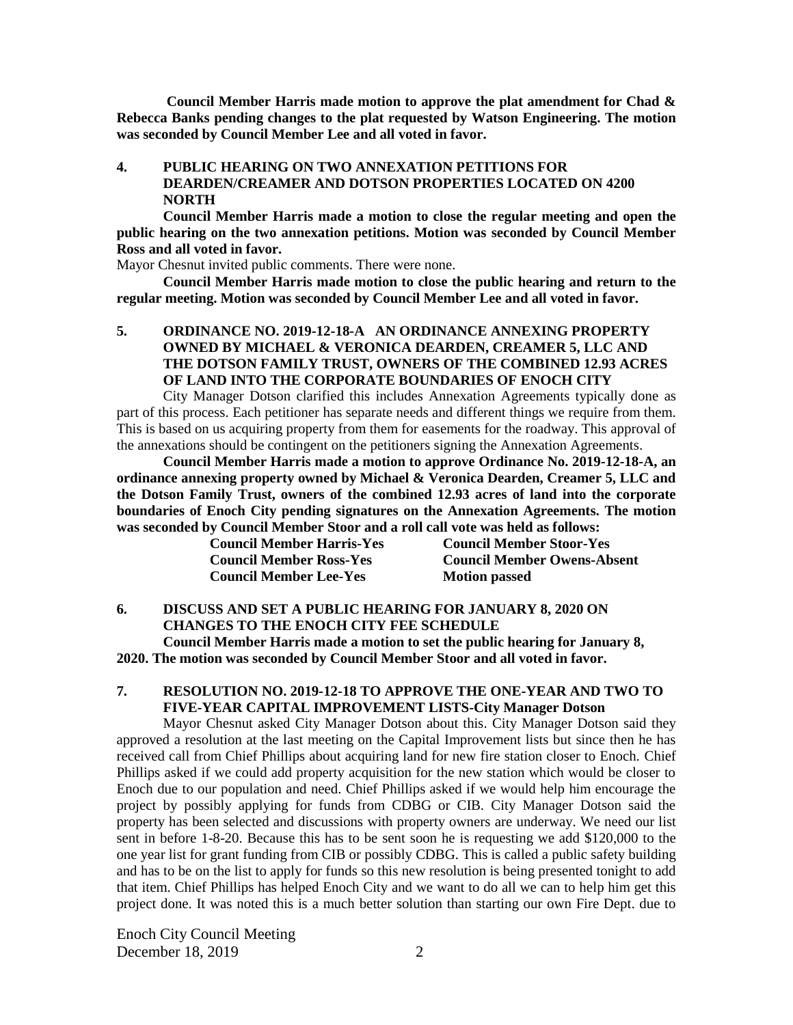**Council Member Harris made motion to approve the plat amendment for Chad & Rebecca Banks pending changes to the plat requested by Watson Engineering. The motion was seconded by Council Member Lee and all voted in favor.**

## **4. PUBLIC HEARING ON TWO ANNEXATION PETITIONS FOR DEARDEN/CREAMER AND DOTSON PROPERTIES LOCATED ON 4200 NORTH**

**Council Member Harris made a motion to close the regular meeting and open the public hearing on the two annexation petitions. Motion was seconded by Council Member Ross and all voted in favor.**

Mayor Chesnut invited public comments. There were none.

**Council Member Harris made motion to close the public hearing and return to the regular meeting. Motion was seconded by Council Member Lee and all voted in favor.**

**5. ORDINANCE NO. 2019-12-18-A AN ORDINANCE ANNEXING PROPERTY OWNED BY MICHAEL & VERONICA DEARDEN, CREAMER 5, LLC AND THE DOTSON FAMILY TRUST, OWNERS OF THE COMBINED 12.93 ACRES OF LAND INTO THE CORPORATE BOUNDARIES OF ENOCH CITY**

City Manager Dotson clarified this includes Annexation Agreements typically done as part of this process. Each petitioner has separate needs and different things we require from them. This is based on us acquiring property from them for easements for the roadway. This approval of the annexations should be contingent on the petitioners signing the Annexation Agreements.

**Council Member Harris made a motion to approve Ordinance No. 2019-12-18-A, an ordinance annexing property owned by Michael & Veronica Dearden, Creamer 5, LLC and the Dotson Family Trust, owners of the combined 12.93 acres of land into the corporate boundaries of Enoch City pending signatures on the Annexation Agreements. The motion was seconded by Council Member Stoor and a roll call vote was held as follows:** 

| <b>Council Member Harris-Yes</b> | <b>Council Member Stoor-Yes</b>    |
|----------------------------------|------------------------------------|
| <b>Council Member Ross-Yes</b>   | <b>Council Member Owens-Absent</b> |
| <b>Council Member Lee-Yes</b>    | <b>Motion passed</b>               |

**6. DISCUSS AND SET A PUBLIC HEARING FOR JANUARY 8, 2020 ON CHANGES TO THE ENOCH CITY FEE SCHEDULE Council Member Harris made a motion to set the public hearing for January 8, 2020. The motion was seconded by Council Member Stoor and all voted in favor.**

# **7. RESOLUTION NO. 2019-12-18 TO APPROVE THE ONE-YEAR AND TWO TO FIVE-YEAR CAPITAL IMPROVEMENT LISTS-City Manager Dotson**

Mayor Chesnut asked City Manager Dotson about this. City Manager Dotson said they approved a resolution at the last meeting on the Capital Improvement lists but since then he has received call from Chief Phillips about acquiring land for new fire station closer to Enoch. Chief Phillips asked if we could add property acquisition for the new station which would be closer to Enoch due to our population and need. Chief Phillips asked if we would help him encourage the project by possibly applying for funds from CDBG or CIB. City Manager Dotson said the property has been selected and discussions with property owners are underway. We need our list sent in before 1-8-20. Because this has to be sent soon he is requesting we add \$120,000 to the one year list for grant funding from CIB or possibly CDBG. This is called a public safety building and has to be on the list to apply for funds so this new resolution is being presented tonight to add that item. Chief Phillips has helped Enoch City and we want to do all we can to help him get this project done. It was noted this is a much better solution than starting our own Fire Dept. due to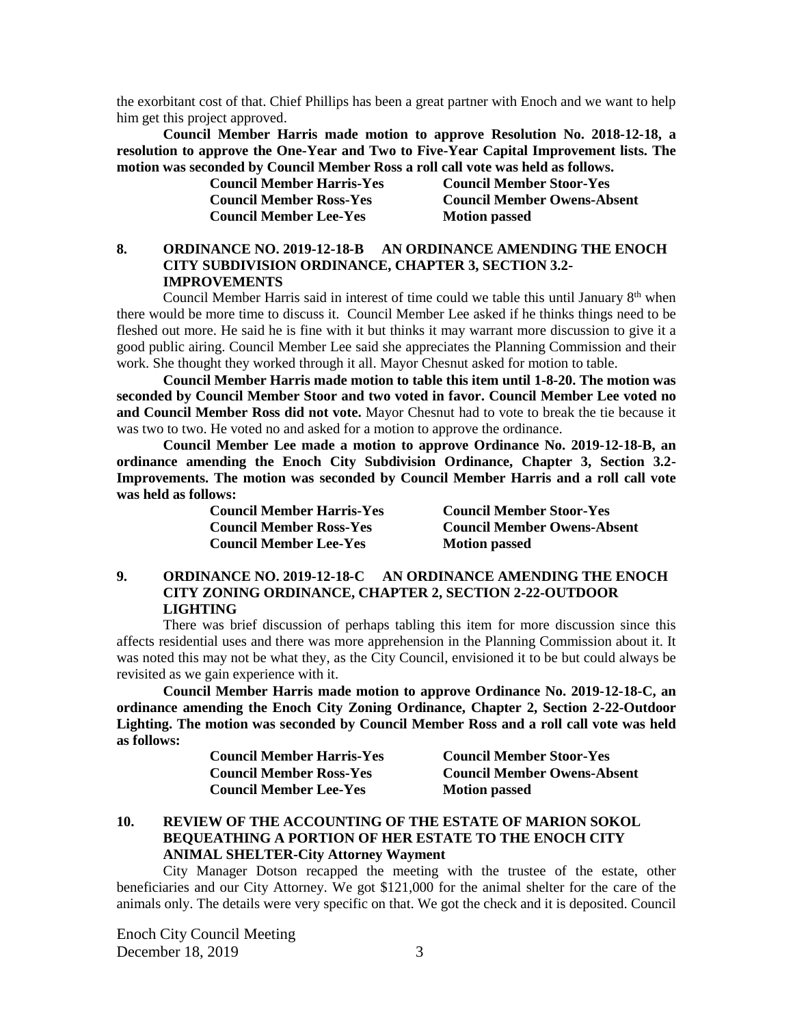the exorbitant cost of that. Chief Phillips has been a great partner with Enoch and we want to help him get this project approved.

**Council Member Harris made motion to approve Resolution No. 2018-12-18, a resolution to approve the One-Year and Two to Five-Year Capital Improvement lists. The motion was seconded by Council Member Ross a roll call vote was held as follows.**

**Council Member Lee-Yes Motion passed** 

**Council Member Harris-Yes Council Member Stoor-Yes Council Member Ross-Yes Council Member Owens-Absent**

## **8. ORDINANCE NO. 2019-12-18-B AN ORDINANCE AMENDING THE ENOCH CITY SUBDIVISION ORDINANCE, CHAPTER 3, SECTION 3.2- IMPROVEMENTS**

Council Member Harris said in interest of time could we table this until January  $8<sup>th</sup>$  when there would be more time to discuss it. Council Member Lee asked if he thinks things need to be fleshed out more. He said he is fine with it but thinks it may warrant more discussion to give it a good public airing. Council Member Lee said she appreciates the Planning Commission and their work. She thought they worked through it all. Mayor Chesnut asked for motion to table.

**Council Member Harris made motion to table this item until 1-8-20. The motion was seconded by Council Member Stoor and two voted in favor. Council Member Lee voted no and Council Member Ross did not vote.** Mayor Chesnut had to vote to break the tie because it was two to two. He voted no and asked for a motion to approve the ordinance.

**Council Member Lee made a motion to approve Ordinance No. 2019-12-18-B, an ordinance amending the Enoch City Subdivision Ordinance, Chapter 3, Section 3.2- Improvements. The motion was seconded by Council Member Harris and a roll call vote was held as follows:**

| <b>Council Member Harris-Yes</b> | <b>Council Member Stoor-Yes</b>    |
|----------------------------------|------------------------------------|
| <b>Council Member Ross-Yes</b>   | <b>Council Member Owens-Absent</b> |
| <b>Council Member Lee-Yes</b>    | <b>Motion passed</b>               |

## **9. ORDINANCE NO. 2019-12-18-C AN ORDINANCE AMENDING THE ENOCH CITY ZONING ORDINANCE, CHAPTER 2, SECTION 2-22-OUTDOOR LIGHTING**

There was brief discussion of perhaps tabling this item for more discussion since this affects residential uses and there was more apprehension in the Planning Commission about it. It was noted this may not be what they, as the City Council, envisioned it to be but could always be revisited as we gain experience with it.

**Council Member Harris made motion to approve Ordinance No. 2019-12-18-C, an ordinance amending the Enoch City Zoning Ordinance, Chapter 2, Section 2-22-Outdoor Lighting. The motion was seconded by Council Member Ross and a roll call vote was held as follows:**

| <b>Council Member Harris-Yes</b> | <b>Council Member Stoor-Yes</b>    |
|----------------------------------|------------------------------------|
| <b>Council Member Ross-Yes</b>   | <b>Council Member Owens-Absent</b> |
| <b>Council Member Lee-Yes</b>    | <b>Motion passed</b>               |

# **10. REVIEW OF THE ACCOUNTING OF THE ESTATE OF MARION SOKOL BEQUEATHING A PORTION OF HER ESTATE TO THE ENOCH CITY ANIMAL SHELTER-City Attorney Wayment**

City Manager Dotson recapped the meeting with the trustee of the estate, other beneficiaries and our City Attorney. We got \$121,000 for the animal shelter for the care of the animals only. The details were very specific on that. We got the check and it is deposited. Council